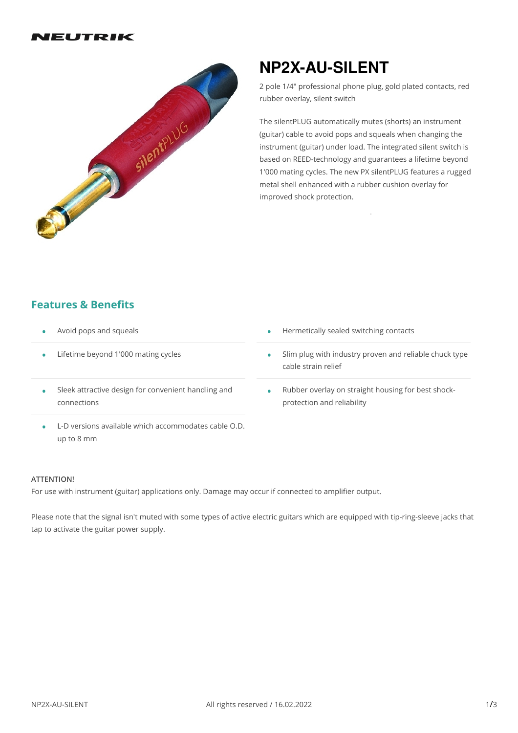#### IEUTRIK



# **NP2X-AU-SILENT**

2 pole 1/4" professional phone plug, gold plated contacts, red rubber overlay, silent switch

The silentPLUG automatically mutes (shorts) an instrument (guitar) cable to avoid pops and squeals when changing the instrument (guitar) under load. The integrated silent switch is based on REED-technology and guarantees a lifetime beyond 1'000 mating cycles. The new PX silentPLUG features a rugged metal shell enhanced with a rubber cushion overlay for improved shock protection.

## **Features & Benefits**

- 
- Lifetime beyond 1'000 mating cycles •
- Avoid pops and squeals  **Avoid pops and squeals Avoid pops and squeals Avoid pops and squeals Avoid pops and squeals Avoid pops and squeals Avoid pops and squeals Avoid pops and squeals Avoid pops and squeal** 
	- Slim plug with industry proven and reliable chuck type cable strain relief •
- Sleek attractive design for convenient handling and connections •
- Rubber overlay on straight housing for best shock- protection and reliability •
- L-D versions available which accommodates cable O.D. up to 8 mm

#### **ATTENTION!**

For use with instrument (guitar) applications only. Damage may occur if connected to amplifier output.

Please note that the signal isn't muted with some types of active electric guitars which are equipped with tip-ring-sleeve jacks that tap to activate the guitar power supply.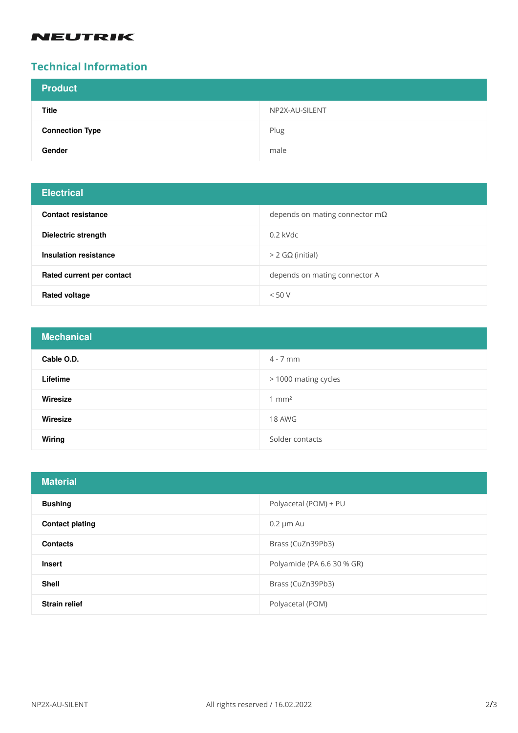## **NEUTRIK**

## **Technical Information**

| <b>Product</b>         |                |
|------------------------|----------------|
| <b>Title</b>           | NP2X-AU-SILENT |
| <b>Connection Type</b> | Plug           |
| Gender                 | male           |

# **Electrical**

| <b>Contact resistance</b> | depends on mating connector $m\Omega$ |
|---------------------------|---------------------------------------|
| Dielectric strength       | $0.2$ kVdc                            |
| Insulation resistance     | $>$ 2 GΩ (initial)                    |
| Rated current per contact | depends on mating connector A         |
| Rated voltage             | < 50 V                                |

| <b>Mechanical</b> |                      |
|-------------------|----------------------|
| Cable O.D.        | $4 - 7$ mm           |
| Lifetime          | > 1000 mating cycles |
| Wiresize          | $1 \text{ mm}^2$     |
| Wiresize          | 18 AWG               |
| Wiring            | Solder contacts      |

| <b>Material</b>        |                            |
|------------------------|----------------------------|
| <b>Bushing</b>         | Polyacetal (POM) + PU      |
| <b>Contact plating</b> | $0.2 \mu m$ Au             |
| <b>Contacts</b>        | Brass (CuZn39Pb3)          |
| <b>Insert</b>          | Polyamide (PA 6.6 30 % GR) |
| <b>Shell</b>           | Brass (CuZn39Pb3)          |
| <b>Strain relief</b>   | Polyacetal (POM)           |